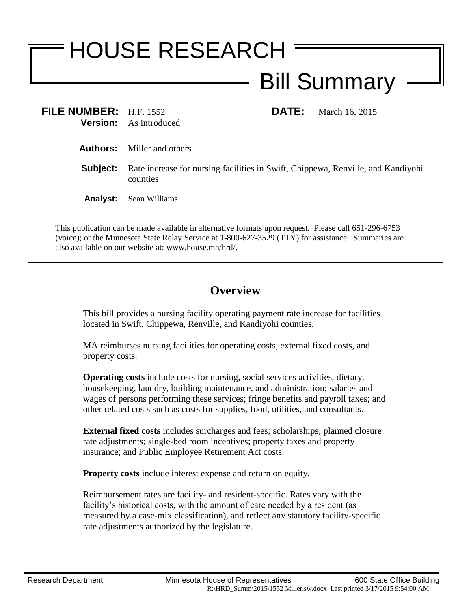## HOUSE RESEARCH Bill Summary

**FILE NUMBER:** H.F. 1552 **DATE:** March 16, 2015 **Version:** As introduced

- **Authors:** Miller and others
- **Subject:** Rate increase for nursing facilities in Swift, Chippewa, Renville, and Kandiyohi counties
- **Analyst:** Sean Williams

This publication can be made available in alternative formats upon request. Please call 651-296-6753 (voice); or the Minnesota State Relay Service at 1-800-627-3529 (TTY) for assistance. Summaries are also available on our website at: www.house.mn/hrd/.

## **Overview**

This bill provides a nursing facility operating payment rate increase for facilities located in Swift, Chippewa, Renville, and Kandiyohi counties.

MA reimburses nursing facilities for operating costs, external fixed costs, and property costs.

**Operating costs** include costs for nursing, social services activities, dietary, housekeeping, laundry, building maintenance, and administration; salaries and wages of persons performing these services; fringe benefits and payroll taxes; and other related costs such as costs for supplies, food, utilities, and consultants.

**External fixed costs** includes surcharges and fees; scholarships; planned closure rate adjustments; single-bed room incentives; property taxes and property insurance; and Public Employee Retirement Act costs.

**Property costs** include interest expense and return on equity.

Reimbursement rates are facility- and resident-specific. Rates vary with the facility's historical costs, with the amount of care needed by a resident (as measured by a case-mix classification), and reflect any statutory facility-specific rate adjustments authorized by the legislature.